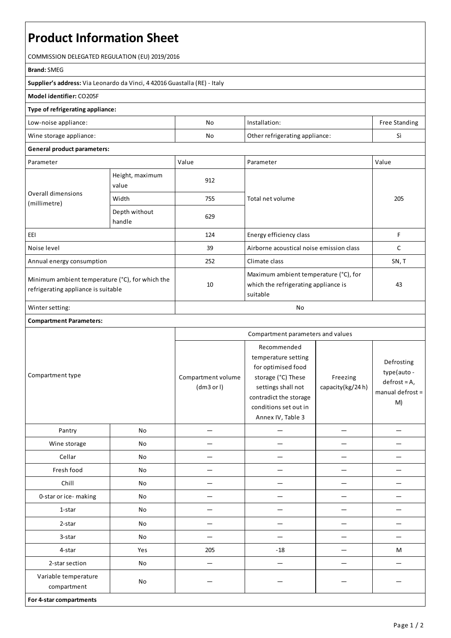# **Product Information Sheet**

COMMISSION DELEGATED REGULATION (EU) 2019/2016

#### **Brand:**SMEG

**Supplier's address:** ViaLeonardo da Vinci, 4 42016 Guastalla(RE) - Italy

### **Model identifier:** CO205F

#### **Type of refrigerating appliance:**

| Low-noise appliance:    | No | Installation:                  | <b>Free Standing</b> |
|-------------------------|----|--------------------------------|----------------------|
| Wine storage appliance: | No | Other refrigerating appliance: | $\sim$<br>Ы          |

## **General product parameters:**

| Parameter                                                                              |                          | Value | Parameter                                                                                 | Value |
|----------------------------------------------------------------------------------------|--------------------------|-------|-------------------------------------------------------------------------------------------|-------|
| Overall dimensions<br>(millimetre)                                                     | Height, maximum<br>value | 912   |                                                                                           | 205   |
|                                                                                        | Width                    | 755   | Total net volume                                                                          |       |
|                                                                                        | Depth without<br>handle  | 629   |                                                                                           |       |
| EEI                                                                                    |                          | 124   | Energy efficiency class                                                                   | F     |
| Noise level                                                                            |                          | 39    | Airborne acoustical noise emission class                                                  | C     |
| Annual energy consumption                                                              |                          | 252   | Climate class                                                                             | SN, T |
| Minimum ambient temperature (°C), for which the<br>refrigerating appliance is suitable |                          | 10    | Maximum ambient temperature (°C), for<br>which the refrigerating appliance is<br>suitable | 43    |
| Winter setting:                                                                        |                          | No    |                                                                                           |       |

#### **Compartment Parameters:**

| Compartment type                    |     | Compartment parameters and values |                                                                                                                                                                              |                              |                                                                         |
|-------------------------------------|-----|-----------------------------------|------------------------------------------------------------------------------------------------------------------------------------------------------------------------------|------------------------------|-------------------------------------------------------------------------|
|                                     |     | Compartment volume<br>(dm3 or l)  | Recommended<br>temperature setting<br>for optimised food<br>storage (°C) These<br>settings shall not<br>contradict the storage<br>conditions set out in<br>Annex IV, Table 3 | Freezing<br>capacity(kg/24h) | Defrosting<br>type(auto -<br>$defrost = A,$<br>manual defrost $=$<br>M) |
| Pantry                              | No  |                                   |                                                                                                                                                                              |                              |                                                                         |
| Wine storage                        | No  |                                   |                                                                                                                                                                              |                              |                                                                         |
| Cellar                              | No  |                                   |                                                                                                                                                                              |                              |                                                                         |
| Fresh food                          | No  |                                   |                                                                                                                                                                              |                              |                                                                         |
| Chill                               | No  |                                   |                                                                                                                                                                              |                              |                                                                         |
| 0-star or ice-making                | No  |                                   |                                                                                                                                                                              |                              |                                                                         |
| 1-star                              | No  |                                   |                                                                                                                                                                              |                              |                                                                         |
| 2-star                              | No  |                                   |                                                                                                                                                                              |                              |                                                                         |
| 3-star                              | No  |                                   |                                                                                                                                                                              |                              |                                                                         |
| 4-star                              | Yes | 205                               | $-18$                                                                                                                                                                        |                              | M                                                                       |
| 2-star section                      | No  | —                                 |                                                                                                                                                                              |                              |                                                                         |
| Variable temperature<br>compartment | No  |                                   |                                                                                                                                                                              |                              |                                                                         |
| For 4-star compartments             |     |                                   |                                                                                                                                                                              |                              |                                                                         |